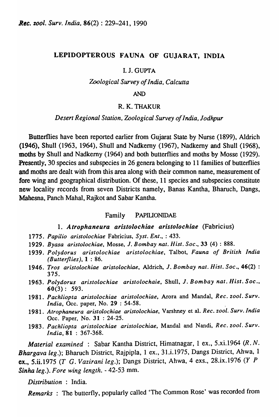# LEPIDOPTEROUS FAUNA OF GUJARAT, INDIA

### I. J. GUPTA

*Zoological Survey of India, Calcutta* 

### AND

# R.K.THAKUR

### *Desert Regional Station, Zoological Survey ojlndia, Jodhpur*

Butterflies have been reported earlier from Gujarat State by Nurse (1899), Aldrich (1946), Shull (1963, 1964), Shull and Nadkemy (1967), Nadkemy and Shull (1968), moths by Shull and Nadkemy (1964) and both butterflies and moths by Mosse (1929). Presently, 30 species and subspecies in 26 genera belonging to 11 families of butterflies and moths are dealt with from this area along with their common name, measurement of fore wing and geographical distribution. Of these, 11 species and subspecies constitute new locality records from seven Districts namely, Banas Kantha, Bharuch, Dangs, Mahesna, Panch Mahal, Rajkot and Sabar Kantha.

### Family PAPIUDNIDAE

### *1. Atrophaneura aristolochiae aristolochiae* (Fabricius)

- *1775. Papilio aristolochiae* Fabricius, *Syst. Ent.,* : 433.
- 1929. *Byasa aristolochiae,* Mosse, J. *Bombay nat. Hist. Soc.,* 33 (4) : 888.
- 1939. *Polydorus aristolochiae aristolochiae,* Talbot, *Fauna of British India (Butterflies},l* : 86.
- 1946. *Tros aristolochiae aristolochiae,* Aldrich, J. *Bombay nat. Hist. Soc.,* 46(2) : 375.
- 1963. *Polydorus aristolochiae aristolochaie,* Shull, J. *Bombay nat. Hisl. Soc.,*  60(3): 593.
- 1981. *Pachliopta aristolochiae aristolochiae,* Arora and Mandal, *Rec. zool. Surv. India*, Occ. paper, No. 29 : 54-58.
- 1981. *Atrophaneura aristolochiae aristolochiae*, Varshney et al. *Rec. zool. Surv. India Dcc.* Paper, No. 31 : 24-25.
- 1983. *Pachliopta aristolochiae aristolochiae,* MandaI and Nandi, *Rec. zool. Surv. India,* 81 : 367-368.

*Material examined* : Sabar Kantha District, Himatnagar, 1 ex., 5.xi.1964 *(R. N. Bhargava leg* .); Bharuch District, Rajpipla, 1 ex., 31.i.1975, Dangs District, Ahwa, 1 ex., 5.ii.1975 *(T* G. *Vazirani leg* .); Dangs District, Ahwa, 4 exs., 28.ix.1976 (Y *P Sinha leg.). Fore wing length.* - 42-53 mm.

*Distribution* : India.

*Remarks* : The butterfly, popularly called 'The Common Rose' was recorded from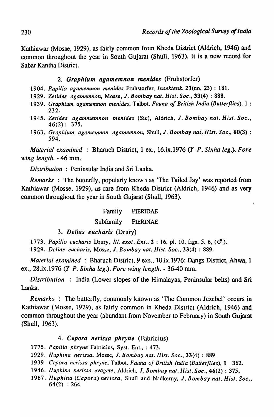Kathiawar (Mosse, 1929), as fairly common from Kheda District (Aldrich, 1946) and common throughout the year in South Gujarat (Shull, 1963). It is a new record for Sabar Kantha District.

# *2. Graphium agamemnon menides* (Fruhstorfer)

- *1904. Papilio agamemnon menides* Fruhstorfer, *Insektenk.* 21(no. 23) : 181.
- *1929. Zetides agamemnon.* Mosse, J. *Bombay nat. Hist. Soc.,* 33(4) : 888.
- *1939. Graphium agamemnon menides,* Talbot, *Fauna of British India (Butterflies),* 1 : 232.
- *1945. Zetides agammemnon men ides* (Sic). Aldrich. J. *Bombay nat. Hist. Soc.,*   $46(2): 375.$
- *1963. Graphium agamemnon agamemnon,* Shull, J. *Bombay nai. Hist. Soc.,* 60(3) : 594.

*Material examined* : Bharuch District, 1 ex., 16.ix.1976 *(Y P. Sinha leg.). Fore wing length.* - 46 mm.

*Distribution* : Peninsular India and Sri Lanka.

*Remarks* : The butterfly, popularly know 1 as 'The Tailed Jay' was reported from Kathiawar (Mosse, 1929), as rare from Kheda District (Aldrich, 1946) and as very common throughout the year in South Gujarat (Shull, 1963).

# Family PIERIDAE

# Subfamily PIERINAE

*3. Delias eucllaris* (Drury)

*1773. Papilio eucharis* Drury. *IIl.exot.Ent .• 2:* 16. pI. 10, figs. 5, 6, (d').

*1929. Delias eucharis,* Mosse. J. *BOlnbay nat./list. Soc .•* 33(4) : 889.

*Material examined* : Bharuch District, 9 exs., 10.ix.1976; Dangs District, Ahwa, 1 ex., 28.ix.1976 (Y *P. Sinha leg.). Fore wing length.* - 36-40 mm.

*Distribution* : India (Lower slopes of the Himalayas, Peninsular belts) and Sri Lanka.

*Remarks* : The butterfly, commonly known as 'The Common Jezebel' occurs in Kathiawar (Masse, 1929), as fairly common in Kheda District (Aldrich, 1946) and common throughout the year (abundant from November to February) in South Gujarat (Shull, 1963).

# 4. Cepora *nerissa* phryne (Fabricius)

*1775. Papilio phryne* Fabricius, Syst. Ent., : 473.

- *1929. Iluphina nerissa,* Mosse, J. *Bombay nat. Ilisl. Soc.,* 33(4) : 889.
- *1939. Cepora nerissa phryne,* Talbol. *Fauna of British India (Butterflies),* t 362.
- *1946. lluphina nerissa evagele,* Aldrich, J. *Bombay nat. Ilist. Soc .•* 46(2) : 375.
- 1967. *Huphina (Cepora) nerissa*, Shull and Nadkerny, J. Bombay nat. Hist. Soc., 64(2) : 264.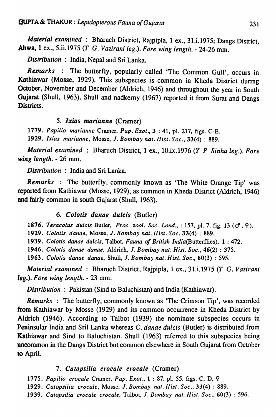*Material examined* : Bharuch District, Rajpipla, 1 ex., 31.i.1975; Dangs District, Ahwa, 1 ex., 5.ii.1975 *(T* G. *Vazirani leg.). Fore wing length.* - 24-26 mm.

*Distribution* : India, Nepal and Sri Lanka.

*Remarks* : The butterfly, popularly called 'The Common Gull', occurs in Kathiawar (Mosse, 1929). This subspecies is common in Kheda District during October, November and December (Aldrich, 1946) and throughout the year in South Gujarat (Shull, 1963). Shull and nadkerny (1967) reported it from Surat and Dangs Districts.

# *5. lxias marianne* (Cramer)

*1779. Papilio marianne* Cramer, *Pap. Exot.,* 3 : 41, pI. 217, figs. C-E.

*1929. Ixias marianne,* Mosse, J. *Bombay nat. Hist. Soc.,* 33(4) : 889.

*Material examined* : Bharuch District,'1 ex., 10.ix.1976 (Y *P Sinha leg.). Fore*  wing *length.* - 26 mm.

*Distribution* : India and Sri Lanka.

*Remarks* : The butterfly, commonly known as 'The White Orange Tip' was reported from Kathiawar (Mosse, 1929), as common in Kheda District (Aldrich, 1946) and fairly common in south Gujarat (Shull, 1963).

# *6. Colotis danae dulcis* (Butler)

1876. Teracolus dulcis Butler, Proc. zool. Soc. Lond., : 157, pl. 7, fig. 13 ( $\sigma^2$ ,  $\varphi$ ).

*1929. Colotis danae,* Mosse, J. *Bombay nat. Hist. Soc.* 33(4) : 889.

*1939. Colotis danae dulcis.* Talbot, *Fauna of British* India(Butterflies), 1 : 472.

*1946. Colotis danae danae,* Aldrich, J. *Bombay nat. Hist. Soc.,* 46(2) : 375.

*1963. Colotis danae danae,* Shull, J. *Bombay nat. Hist. Soc.,* 60(3) : 595.

*Material examined* : Bharuch District, Rajpipla, 1 ex., 31.i.1975 *(T* G. *Vazirani leg.). Fore wing length.* - 23 mm.

*Distribution*: Pakistan (Sind to Baluchistan) and India (Kathiawar).

*Remarks* : The butterfly, commonly known as 'The Crimson Tip', was recorded from Kathiawar by Mosse (1929) and its common occurrence in Kheda District by Aldrich (1946). According to Talbot (1939) the nominate subspecies occurs in Peninsular India and Sril Lanka whereas C. *danae dulcis* (Butler) is distributed from Kathiawar and Sind to Baluchistan. Shull (1963) referred to this subspecies being uncommon in the Dangs District but common elsewhere in South Gujarat from October to April.

# *7. Catopsilia crocale crocale* (Cramer)

*1775. Papilio crocale* Cramer, *Pap. Exot.,* 1 : 87, pI. 55, figs. C, 0, 9

*1929. Catopsilia crocale,* Mossc, J. *Bombay nat. Ilist. Soc.,* 33(4) : 889.

*1939. Catopsilia crocale crocaie,* Talbot, J. *Bombay nat.llist. Soc.,* 60(3) : 596.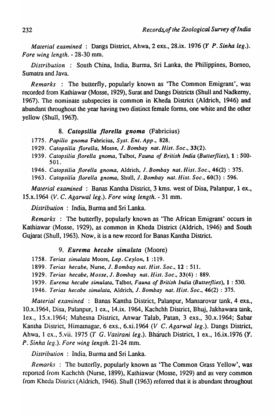*Material examined* : Dangs District, Ahwa, 2 exs., 28.ix. 1976 *(Y P. Sinha leg.). Fore wing length.* - 28-30 mm.

*Distribution* : South China, India, Burma, Sri Lanka, the Philippines, Borneo, Sumatra and Java.

*Remarks* : The butterfly, popularly known as 'The Common Emigrant', was recorded from Kathiawar (Mosse, 1929), Surat and Dangs Districts (Shull and Nadkemy, 1967). The nominate subspecies is common in Kheda District (Aldrich, 1946) and abundant throughout the year having two distinct female forms, one white and the other yellow (Shull, 1963).

### *8. Catopsilia /lorella gnoma* (Fabricius)

*1775. Papilio gnoma* Fabricius, *Syst. Ent. App., 828.* 

*1929. Catopsilia fiorella,* Mosse, J. *Bombay nat. Hisl. Soc., 33(2).* 

*1939. Catopsilia florella gnoma,* Talbot, *Fauna of British India (Butterflies),* 1 : 500- 501.

*1946. Catopsilia florella gnoma,* Aldrich, J. *Bombay nat. Hist. Soc.,* 46(2) : 375.

*1963. Catopsilia florella gnoma,* Shull, J. *Bombay nat. Hist. Soc.,* 60(3) : 596.

*Material examined* : Banas Kantha District, 3 kms. west of Disa, Palanpur, 1 ex., lS.x.1964 (V. C. *Agarwal leg.). Fore wing length.* - 31 mm.

*Distribution* : India, Burma and Sri Lanka.

*Remarks* : The butterfly, popularly known as 'The African Emigrant' occurs in Kathiawar (Masse, 1929), as common in Kheda District (Aldrich, 1946) and South Gujarat (Shull, 1963). Now, it is a new record for Banas Kantha District.

### *9. Eurema hecabe simulata* (Moore)

*1758. Terias simulala* Moore, *Lep. Ceylon,* 1 :119.

*1899. Terias hecabe,* Nurse, J. *Bombay nat. Hist. Soc.,* 12 : 511.

*1929. Terias hecabe, Mosse,* J. *Bombay nat. Hisl. Soc.,* 33(4) : 889.

*1939. Eurema hecabe simuiala,* Talbot, *Fauna of British India (Butterflies),* 1 : 530.

*1946. Terias hecabe simulata,* Aldrich, J. *Bombay nat.llist. Soc .•* 46(2) : 375.

Material examined : Banas Kantha District, Palanpur, Mansarovar tank, 4 exs., 10.x.1964, Disa, Paianpur, 1 ex., 14.ix. 1964, Kachchh District, Bhuj, Jakhawara tank, lex., 15.x.1964; Mahesna District, Anwar Talab, Patan, 3 exs., 30.x.1964; Sabar Kantha District, Himatnagar, 6 exs., 6.xi.1964 (V C. *Agarwal leg.*). Dangs District, Ahwa, 1 ex., 5.vii. 1975 (T G. *Vazirani leg.*). Bharuch District, 1 ex., 16.ix.1976 (Y. *P. Sinha leg.). Fore wing length.* 21-24 mm.

*Distribution* : India, Burma and Sri Lanka.

*Remarks* : The butterfly, popularly known as 'The Common Grass Yellow', was reported from Kachchh (Nurse, 1899), Kathiawar (Mosse, 1929) and as very common from Kheda District (Aldrich, 1946). Shull (1963) referred that it is abundant throughout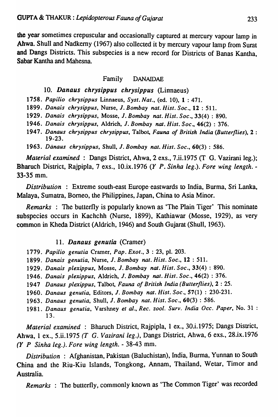the year sometimes crepuscular and occasionally captured at mercury vapour lamp in Ahwa. Shull and Nadkerny (1967) also collected it by mercury vapour lamp from Surat and Dangs Districts. This subspecies is a new record for Districts of Banas Kantha, Sabar Kantha and Mahesna.

# Family DANAIDAE

# 10. Danaus chrysippus chrysippus (Linnaeus)

*1.'58. Papilio chrysippus* Linnaeus, *Syst. Nat.,* (ed. 10), 1 : 471.

*1899. Danais chrysippus,* Nurse, J. *Bombay nat. Hist. Soc.,* 12 : 511.

*1929. Danais chrysippus,* Masse, J. *Bombay nat. Hist. Soc.,* 33(4) : 890.

*1946. Danais chrysippus,* Aldrich, J. *Bombay nat. Hist. Soc.,* 46(2) : 376.

*1947. Danaus chrysippus chrysippus,* Talbot, *Fauna of British India (Butterflies),* 2 : 19-23.

*1963. Danaus chrysippus,* Shull, J. *Bombay nat. Hist. Soc.,* 60(3) : 586.

*Material examined* : Dangs District, Ahwa, 2 exs., 7.ii.1975 (T G. Vazirani leg.); Bharuch District, Rajpipla, 7 exs., 10.ix.1976 (Y *P. Sinha leg.). Fore wing length. -* 33-35 mm.

*Distribution* : Extreme south-east Europe' eastwards to India, Burma, Sri Lanka, Malaya, Sumatra, Borneo, the Philippines, Japan, China to Asia Minor.

*Remarks* : The butterfly is popularly known as 'The Plain Tiger' This nominate subspecies occurs in Kachchh (Nurse, 1899), Kathiawar (Mosse, 1929), as very common in Kheda District (Aldrich, 1946) and South Gujarat (Shull, 1963).

# 11. Danaus genutia (Cramer)

- *1779. Papilio genutia* Cramer, *Pap. Exot.,* 3 : 23, pI. 203.
- *1899. Danais genutia,* Nurse, J. *Bombay nat. Hist. Soc.,* 12 : 511.
- *1929. Danais plexippus,* Mosse, J. *Bombay nat. Hist. Soc.,* 33(4) : 890.
- *1946. Danais plexippus,* Aldrich, J. *Bombay nat. Hist. Soc.,* 46(2) : 376.
- *1947 Danaus plexippus,* Talbot, *Fauna of British India (Butterflies),* 2 : 25.
- *1960. Danaus genutia,* Editors, J. *Bombay nat. Hist. Soc.,* 57(1) : 230-231.
- *1963. Danaus genutia,* Shull, J. *Bombay nat. Hisl. Soc.,* 60(3) : 586.
- 1981. Danaus genutia, Varshney et al., Rec. zool. Surv. India Occ. Paper, No. 31 : 13.

*Material examined* : Bharuch District, Rajpipla, 1 ex., 30.i.1975; Dangs District, Ahwa, 1 ex., 5.ii.1975 *(T G. Vazirani leg.)*, Dangs District, Ahwa, 6 exs., 28.ix.1976 (Y *P Sinha leg.). Fore wing length.* - 38-43 mm.

*Distribution* : Afghanistan, Pakistan (Baluchistan), India, Bwma, Yunnan to South China and the Riu-Kiu Islands, Tongkong, Annam, Thailand, Wetar, Timor and Australia.

*Remarks* : The butterfly, commonly known as 'The Common Tiger' was recorded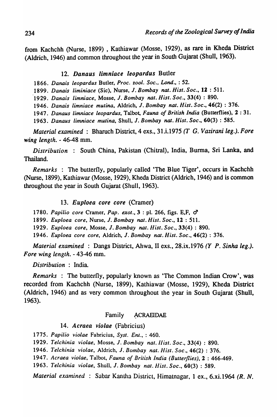from Kachchh (Nurse, 1899) , Kathiawar (Mosse, 1929), as rare in Kheda District (Aldrich, 1946) and common throughout the year in South Gujarat (Shull, 1963).

# *12. Danaus limniace leopardus* Butler

*1866. Danais leopardus* Butler, *Proc.* %001. *Soc., Lond.,* : 52.

*1899. Danais liminiace* (Sic), Nurse, J. *Bombay nat. Hist. Soc.,* 12 : 511.

*1929. Danais limniace,* Mosse, J. *Bombay nat. Hist. Soc.,* 33(4) : 890.

*1946. Danais limniace mutina,* Aldrich, J. *Bombay nat. Hist. Soc.,* 46(2) : 376.

*1947. Danaus limniace leopardus,* Talbot, *Fauna of British India* (Butterflies), 2 : 31.

*1963. Danaus limniace mutina,* Shull, J. *Bombay nat. Hist. Soc.,* 60(3) : 585.

*Material examined:* Bharuch District, 4 exs., 31.i.1975 *(T* G. *Vazirani leg.). Fore wing length.* - 46-48 mm.

*Distribution* : South China, Pakistan (Chitral), India, Burma, Sri Lanka, and Thailand.

*Remarks* : The butterfly, popularly called 'The Blue Tiger', occurs in Kachchh (Nurse, 1899), Kathiawar (Mosse, 1929), Kheda District (Aldrich, 1946) and is common throughout the year in South Gujarat (Shull, 1963).

# *13. Euploea core core* (Cramer)

*1780. Papilio core* Cramer, *Pap. exot.,* 3 : pI. 266, figs. E,F, d

*1899. Euploea core,* Nurse, J. *Bombay nat. Hisl. Soc.,* 12 : 511.

*1929. Euploea core,* Mosse, J. *Bombay nat. Hisl. Soc.,* 33(4) : 890.

*1946. Euploea core core,* Aldrich, J. *Bombay nat. Hist. Soc.,* 46(2) : 376.

*Material examined* : Dangs District, Ahwa, II exs., 28.ix.1976 (Y *P. Sinha leg.). Fore wing length.* - 43-46 mm.

*Distribution* : India.

*Remarks* : The butterfly, popularly known as 'The Common Indian Crow', was recorded from Kachchh (Nurse, 1899), Kathiawar (Mosse, 1929), Kheda District (Aldrich, 1946) and as very common throughout the year in South Gujarat (Shull, 1963).

# Family ACRAEIDAE

# *14. Acraea violae* (Fabricius)

*1775. Papilio violae* Fabricius, *Sysl. Enl.,* : 460.

*1929. Telchinia violae,* Mosse, J. *Bombay nat.IJisl. Soc.,* 33(4) : 890.

*1946. Telchinia violae,* Aldrich, J. *Bombay nat.llist. Soc.,* 46(2) : 376.

*1947. Acraea violae,* Talbot, *Fauna of Brilish India (Butterflies),* 2 : 466-469.

*1963. Telchinia violae,* Shull, J. *BOlnbay nal.IJist. Soc.,* 60(3) : 589.

*Material examined* : Sabar Kantha District, Himatnagar, 1 ex., 6.xi.1964 *(R. N.*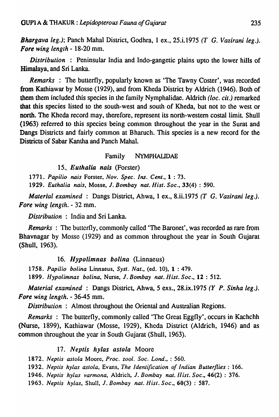*Bhargava leg.);* Panch Mahal District, Godhra, 1 ex., 25.i.1975 *(T* G. *Vazirani leg.). Fore wing length* - 18-20 mm.

*Distribution* : Peninsular India and Indo-gangetic plains upto the lower hills of Himalaya, and Sri Lanka.

*Remarks* : The butterfly, popularly known as 'The Tawny Coster', was recorded from Kathiawar by Mosse (1929), and from Kheda District by Aldrich (1946). Both of them them included this species in the family Nymphalidae. Aldrich *(loc. cit.)* remarked that this species listed to the south-west and south of Kheda, but not to the west or north. The Kheda record may, therefore, represent its north-western costal limit. Shull (1963) referred to this species being common throughout the year in the Surat and Dangs Districts and fairly common at Bharuch. This species is a new record for the Districts of Sabar Kantha and Panch Mahal.

# Family NYMPHALIDAE

15. Euthalia nais (Forster)

*1771. Papilio nais* Forster. *Nov. Spec. Ins. Cent.,* 1 : 73.

*1929. Euthalia nais,* Mosse. J. *Bombay nat. Hist. Soc .•* 33(4) : 590.

*Material examined* : Dangs District, Ahwa, 1 ex., 8.ii.1975 *(T* G. *Vazirani leg.). Fore wing (englh.* - 32 mm.

*Distribution* : India and Sri Lanka.

*Remarks* : The butterfly, commonly called 'The Baronet', was recorded as rare from Bhavnagar by Mosse (1929) and as common throughout the year in South Gujarat (Shull, 1963).

# 16. Hypolimnas bolina (Linnaeus)

*1758. Papilio bolina* Linnaeus. *Syst. Nat.,* (ed. 10). 1 : 479.

*1899. flypolimnas bolina,* Nurse. J. *Bombay nat. Hist. Soc.,* 12 : 512.

*Material examined* : Dangs District, Ahwa, 5 exs., 28.ix.1975 *(Y P. Sinha leg.). Fore wing length.* - 36-45 mm.

*Distribution* : Almost throughout the Oriental and Australian Regions.

*Remarks* : The butterfly, commonly called 'The Great Eggfly', occurs in Kachchh (Nurse, 1899), Kathiawar (Mosse, 1929), Khcda District (Aldrich, 1946) and as common throughout the year in South Gujarat (Shull, 1963).

# 17. Neptis hylas astola Moore

*1872. Neptis astola* Moore. *Proc. zool. Soc. Lond.,* : 560.

*1932. Neptis hylas astola,* Evans, *The Identification of Indian Butterflies: 166.* 

*1946. Neplis hylas varmona,* Aldrich, J. *Bombay nat. IIist. Soc.,* 46"(2) : 376.

*1963. Neptis hylas,* Shull, J. *Bombay nat. Hisl. Soc .•* 60(3) : 587.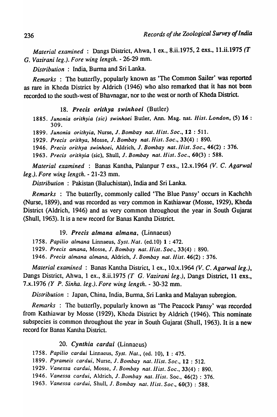*Material examined* : Dangs District, Ahwa, 1 ex., 8.ii.1975, 2 exs., 11.ii.1975 (T G. *Vazirani leg.). Fore wing length.* - 26-29 mm.

*Distribution* : India, Burma and Sri Lanka.

*Remarks* : The butterfly, popularly known as 'The Common Sailer' was reported as rare in Kheda District by Aldrich (1946) who also remarked that it has not been recorded to the south-west of Bhavnagar, nor to the west or north of Kheda District.

18. *Precis orithya swinhoei* (Butler)

*1885. Junonia orilhyia (sic) swinhoei* Butler, Ann. Mag. nat. *Hisl. London,* (5) 16 : 309.

*1899. Junonia orilhyia,* Nurse, J. *Bombay nal. Hisl. Soc.,* 12 : 511.

*1929. Precis orilhya,* Mosse, J. *Bombay nat. Hist. Soc.,* 33(4) : 890.

*1946. Precis orilhya swinhoei,* Aldrich, J. *Bombay nat. Ilist. Soc.,* 46(2) : 376.

*1963. Precis orilhyia* (sic), Shull, J. *Bombay nat. Hist. Soc.,* 60(3) : 588.

*Material examined* : Banas Kantha, Palanpur 7 exs., 12.x.1964 *(V.* C. *Agarwal leg.). Fore wing length.* - 21-23 mm.

*Distribution* : Pakistan (Baluchistan), India and Sri Lanka.

*Remarks* : The butterfly, commonly called 'The Blue Pansy' occurs in Kachchh (Nurse, 1899), and was recorded as very common in Kathiawar (Mosse, 1929), Kheda District (Aldrich, 1946) and as very common throughout the year in South Gujarat (Shull, 1963). It is a new record for Banas Kantha District.

# *19. Precis almana almana,* (Linnaeus)

*1758. Papilio almana* Linnaeus, SySI. *Nat.* (ed.10) 1 : 472.

*1929. Precis amana,* Mosse, J. *Bombay nal. flis!. Soc.,* 33(4) : 890.

*1946. Precis almana almana,* Aldrich, J. *Bombay nat. flist.* 46(2) : 376.

*Material examined* : Banas Kantha District, 1 ex., 10.x.1964 *(V.* C. *Agarwal leg.),*  Dangs District, Ahwa, 1 ex., 8.ii.1975 *(T G. Vazirani leg.)*, Dangs District, 11 exs., 7.x.1976 (Y *P. Sinha. leg.). Fore wing length.* - 30-32 mm.

*Distribution* : Japan, China, India, Burma, Sri Lanka and Malayan subregion.

*Remarks* : The butterfly, popularly known as 'The Peacock Pansy' was recorded from Kathiawar by Mosse (1929), Kheda District by Aldrich (1946). This nominate subspecies is common throughout the year in South Gujarat (Shull, 1963). It is a new record for Banas Kantha District.

*20. Cynthia cardui* (Linnaeus)

*1758. Papilio cardui* Linnaeus, *Syst. Nat.,* (cd. 10),1 : 475.

*1899. Pyrameis cardui,* Nurse, J. *BOlnbay nat.llisl. Soc.,* 12 : 512.

*1929. Vanessa cardui,* Mosse, *1. Bombay nat. llist. Soc.,* 33(4): 890.

*1946. Vanessa cardui,* Aldrich, *1. Bombay nat.llisl.* Soc., 46(2) : 376.

1963. *Vanessa cardui, Shull, J. Bombay nat. Hist. Soc.,* 60(3): 588.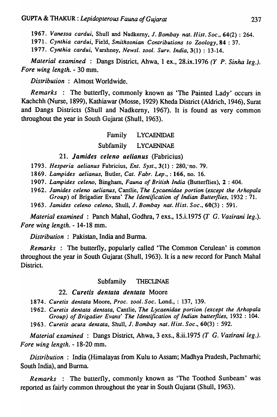*1967. Vanessa cardui,* Shull and Nadkemy, 1. *Bombay. nat. Hist. Soc.,* 64(2) : 264. *1971. Cynthia cardui,* Field, *Smithsonian Contributions to Zoology,* 84 : 37. *1977. Cynthia cardui,* Varshney, *Newsl. zool. Surv. India,* 3(1) : 13-14.

*Material examined* : Dangs District, Ahwa, 1 ex., 28.ix.1976 (Y *P. Sinha leg.). Fore wing length.* - 30 mm.

*Distribution* : Almost Worldwide.

*Remarks* : The butterfly, commonly known as 'The Painted Lady' occurs in Kachchh (Nurse, 1899), Kathiawar (Mosse, 1929) Kheda District (Aldrich, 1946), Surat and Dangs Districts (Shull and Nadkerny, 1967). It is found as very common throughout the year in South Gujarat (Shull, 1963).

# Family LYCAENIDAE

# Subfamily LYCAENINAE

# *21. Jamides celeno aelianus* (Fabricius)

*1793. Hesperia aelianus* Fabricius, *Ent. Syst.,* 3(1) : 280,·no. 79.

*1869. Lampides aelianus,* Butler, *Cat. Fabr. Lep.,* : 166, no. 16.

*1907. Lampides celeno,* Bingham, *Fauna of British India* (Butterflies), 2 : 404.

*1962. lamides celeno aelianus,* Cantlie, *The Lycaenidae portion (except the Arhopala Group)* of Brigadier Evans' *The Identification of Indian Butterflies,* 1932 : 71.

*1963. lamides celeno celeno,* Shull, *1. Bombay nat. Hist. Soc.,* 60(3) : 591.

*Material examined* : Panch Mahal, Godhra, 7 exs., 15.i.1975 *(T* G. *Vazirani leg.). Fore wing length.* - 14-18 mm.

*Distribution* : Pakistan, India and Burma.

*Remarks* : The butterfly, popularly called 'The Common Cerulean' is common throughout the year in South Gujarat (Shull, 1963). It is a new record for Panch Mahal District.

### Subfamily THECLINAE

### 22. Curetis dentata dentata Moore

*1874. Curetis dentata* Moore, *Proc. zool. Soc.* Lond., : 137, 139.

*1962. Curetis dentata dentata,* Cantlie, *The Lycaenidae portion (except the Arhopala Group) of Brigadier Evans' The Identification of Indian butterflies,* 1932 : 104.

*1963. Curetis acuta dentata,* Shull, 1. *Bombay nat. Hist. Soc.,* 60(3) : 592.

*Material examined* : Dangs District, Ahwa, 3 exs., 8.ii.1975 (T G. *Vazirani leg.). Fore wing length.* - 18-20 mm.

*Distribution* : India (Himalayas from Kulu to Assam; Madhya Pradesh, Pachmarhi; South India), and Burma.

*Remarks* : The butterfly, commonly known as 'The Toothed Sunbeam' was reported as fairly common throughout the year in South Gujarat (Shull, 1963).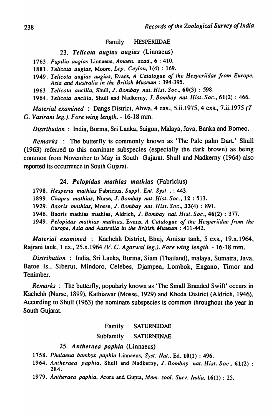#### Family HESPERIIDAE

*23. Telicota augias augias* (Linnaeus)

*1763. Papilio augias* Linnaeus, *Amoen. acad.,6* : 410.

*1881. Telicota augias.* Moore, *Lep. Ceylon.* 1(4) : 169.

- *1949. Telicota augias augias,* Evans, *A Catalogue of the Hesperiidae from Europe, Asia and Australia in the British Museum: 394-395.*
- *1963. Telicota ancilla,* Shull. J. *Bombay nat. Hist. Soc.,* 60(3) : 598.

*1964. Telicota ancilla.* Shull and Nadkemy. J. *Bombay nat. Hist. Soc.,* 61(2) : 466.

*Material examined* : Dangs District, Ahwa, 4 exs., 5.ii.1975, 4 exs., 7.ii.1975 *(T*  G. *Vazirani leg.). Fore wing length.* - 16-18 mm.

*Distribution* : India, Burma, Sri Lanka, Saigon, Malaya, Java, Banka and Borneo.

*Remarks* : The butterfly is commonly known as 'The Pale palm Dart.' Shull (1963) referred to this nominate subspecies (especially the dark brown) as being common from November to May in South Gujarat. Shull and Nadkerny (1964) also reported its occurrence in South Gujarat.

#### *24. Pelopidas mathias mathias* (Fabricius)

- *1798. Hesperia mathias* Fabricius, *Suppl. Enl. Syst.* , : 443.
- *1899. Chapra mathias,* Nurse, J. *Bombay nat. Hist. Soc.,* 12 : 513.
- *1929. Baoris mathias,* Mosse, J. *Bombay nat. Hist. Soc.,* 33(4) : 891.
- 1946. Baoris mathias mathias, Aldrich, J. *Bombay nat. Hist. Soc.,* 46(2) : 377.
- 1949. Pelopidas mathias mathias, Evans, *A Catalogue of the Hesperiidae from the Europe, Asia* and *Australia* in *the British Museum: 411-442.*

*Material examined* : Kachchh District, Bhuj, Amisar tank, 5 exs., 19.x.1964, Rajrani tank, 1 ex., 25.x.1964 *(V.* C. *Agarwal leg.). Fore wing length.* - 16-18 mm.

*Distribution* : India, Sri Lanka, Burma, Siam (Thailand), malaya, Sumatra, Java, Batoe Is., Siberut, Mindoro, Celebes, Djampea, Lombok, Engano, Timor and Tenimber.

*Remarks* : The butterfly, popularly known as 'The Small Branded Swift' occurs in Kachchh (Nurse, 1899), Kathiawar (Mosse, 1929) and Kheda District (Aldrich, 1946). According to Shull (1963) the nominate subspecies is common throughout the year in South Gujarat.

### Family SATURNIIDAE

### Subfamily SATURN1INAE

#### *25. Antheraea paphia* (Linnaeus)

- *1758. Phalaena bombyx paphia* Linnaeus, *Syst. Nat.,* Ed. 10(1) : 496.
- *1964. Antheraea paphia,* Shull and Nadkemy, J. *Bombay nat. Hist. Soc.,* 61(2) : 284.
- *1979. Antheraea paphia,* Arora and Gupta, *Mem.* %001. *Surv. India,* 16(1) : 25.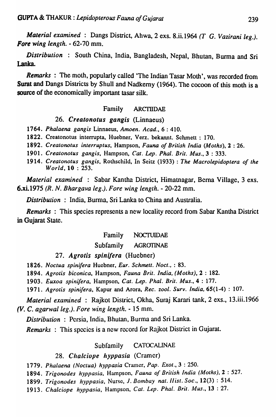*Material examined* : Dangs District, Ahwa, 2 exs. 8.ii.1964 *(T* G. *Vazirani leg.). Fore wing length.* - 62-70 mm.

*Distribution* : South China, India, Bangladesh, Nepal, Bhutan, Burma and Sri Lanka.

*Remarks* : The moth, popularly called 'The Indian Tasar Moth' , was recorded from Surat and Dangs Districts by Shull and Nadkerny (1964). The cocoon of this moth is a source of the economically important tasar silk.

# Family ARCTIIDAE

### *26. Creatonotus gangis* (Linnaeus)

1764. *Phalaena gangis* Linnaeus, *Amoen. Acad.,* 6 : 410.

1822. Creatonotus interrupta, Huebner, Verz. bekannt. Schmett : 170.

1892. *Creatonotus interruptus,* Hampson, *Fauna of British India (Moths),* 2 : 26.

1901. *Creatonotus gangis,* Hampson, *Cat. Lep. Phal. Brit. Mus.,* 3 : 333.

1914. *Creatonotus gangis,* Rothschild, In Seitz (1933) : *The Macrolepidoptera of the World,* 10 : 253.

*Material examined* : Sabar Kantha District, Himatnagar, Bema Village, 3 exs. 6.xi.1975 (R. N. *Bhargava leg.). Fore wing length.* - 20-22 mm.

*Distribution* : India, Burma, Sri Lanka to China and Australia.

*Remarks* : This species represents a new locality record from Sabar Kantha District in Gujarat State.

### Family NOCTUIDAE

# Subfamily AGROTINAE

# *27. Agrotis spinifera* (Huebner)

1826. *Noclua spinifera* Huebner, *Eur. Schmelt. Noct.,* : 83.

1894. *Agrotis biconica,* Hampson, *Fauna Brit. India, (Moths),* 2 : 182.

1903. *Euxoa spinifera,* Hampson, *Cat. Lep. Phal. Brit. Mus.,* 4 : 177.

1971. Agrotis spinifera, Kapur and Arora, *Rec. zool. Surv. India*, 65(1-4): 107.

*Material examined* : Rajkot District, Okha, Suraj Karari tank, 2 exs., 13.iii.1966 *(V.* C. *agarwalleg.). Fore wing length.* - 15 mm.

*Distribution* : Persia, India, Bhutan, Burma and Sri Lanka.

*Remarks* : This spccies is a new record for Rajkot District in Gujarat.

### Subfamily CATOCALINAE

### 28. Chalciope hyppasia (Cramer)

*1779. Phalaena (Noctua) hyppasia* Cnuner, *Pap. Exot.,* 3 : 250.

1894. *Trigonodes hyppasia.* Hampson. *Fauna of British India (Moths),2* : 527.

1899. *Trigonodes hyppasia,* Nurse, 1. *BOlnbay nat. Ilist. Soc.,* 12(3) : 514.

*1913. Chalciope hyppasia,* Hampson. *Cat. Lep. Phal. Brit. Mus.,* 13 : 27.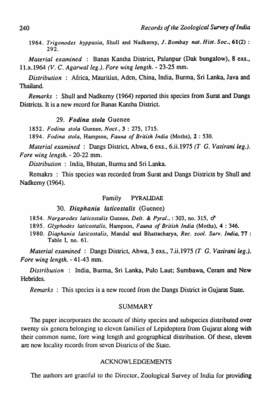*1964. Trigonodes hyppasia,* Shull and Nadkemy, J. *Bombay nal. Hisl. Soc .•* 61(2) : 292.

*Material examined* : Banas Kantha District, Palanpur (Oak bungalow), 8 exs., lI.x.1964 *(V.* C. *Agarwal leg.). Fore wing length.* - 23-25 mm.

*Distribution* : Africa, Mauritius, Aden, China, India, Burma, Sri Lanka, Java and Thailand.

*Remarks* : Shull and Nadkemy (1964) reported this species from Surat and Dangs Districts. It is a new record for Banas Kantha District.

# *29. Fodina stoia* Gucnee

*1852. Fodina stoia* Guenee, *Noet.,* 3 : 275. 1715.

*1894. Fodina siola,* Hampson, *Fauna of British India* (Moths), 2 : 530.

*Material examined* : Dangs District, Ahwa, 6 exs., 6.ii.1975 (T G. *Vazirani* leg.). *Fore wing length.* - 20-22 mm.

*Distribution* : India, Bhutan, Burma and Sri Lanka.

Remakrs : This species was recorded from Surat and Dangs Districts by Shull and Nadkemy (1964).

### Family PYRAUDAE

# *30. Diaphania laticostalis* (Gucnee)

1854. Nargarodes laticostalis Guenee, *Delt. & Pyral.*, : 303, no. 315,  $\sigma^2$ 

*1895. Glyphodes latieostalis,* Hampson, *Fauna of British India* (Moths), 4 : 346.

*1980. Diaphania latleostalls.* MandaI and Bhattacharya, *Ree. zool. Surv. India,* 77 : Table I, no. 61.

*Material examined* : Dangs District, Ahwa, 3 exs., 7.ii.1975 (T G. *Vazirani* leg.). *Fore wing length.* - 41-43 mm.

*Distribution* : India, Burma, Sri Lanka, Pula Laut; Sumbawa, Ceram and New Hebrides.

*Remarks:* This species is a new record from the Dangs District in Gujarat State.

### SUMMARY

The paper incorporates the account of thirty species and subspecies distributed over twenty six genera belonging to eleven families of Lepidoptera from Gujarat along with their common name, fore wing length and geographical distribution. Of these, eleven are new locality records from seven Districts of the Slate.

# ACKNOWLEDGEMENTS

The authors are grateful to the Director, Zoological Survey of India for providing